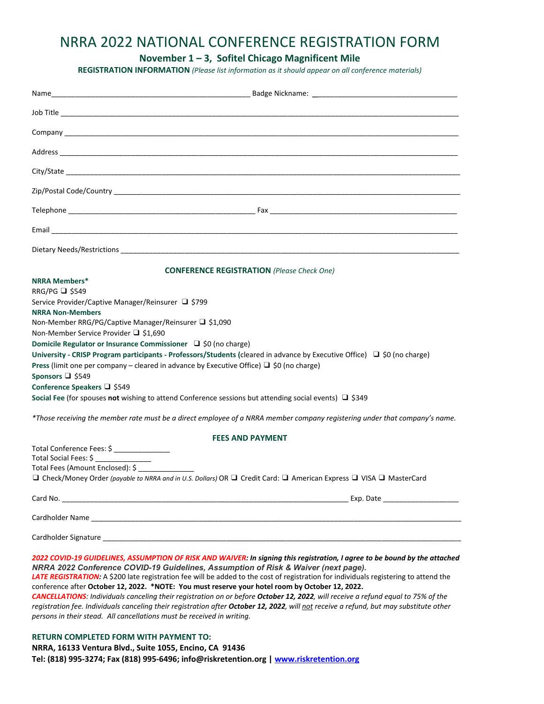## NRRA 2022 NATIONAL CONFERENCE REGISTRATION FORM

**November 1 – 3, Sofitel Chicago Magnificent Mile**

**REGISTRATION INFORMATION** *(Please list information as it should appear on all conference materials)*

| <b>CONFERENCE REGISTRATION</b> (Please Check One)                                                                                                                                                                                                                                                                                                                                                                                                                                                                                                                                                                                                                                                                                                                                                                             |
|-------------------------------------------------------------------------------------------------------------------------------------------------------------------------------------------------------------------------------------------------------------------------------------------------------------------------------------------------------------------------------------------------------------------------------------------------------------------------------------------------------------------------------------------------------------------------------------------------------------------------------------------------------------------------------------------------------------------------------------------------------------------------------------------------------------------------------|
| <b>NRRA Members*</b><br>RRG/PG $\Box$ \$549<br>Service Provider/Captive Manager/Reinsurer □ \$799<br><b>NRRA Non-Members</b><br>Non-Member RRG/PG/Captive Manager/Reinsurer □ \$1,090<br>Non-Member Service Provider □ \$1,690<br>Domicile Regulator or Insurance Commissioner □ \$0 (no charge)<br>University - CRISP Program participants - Professors/Students (cleared in advance by Executive Office) □ \$0 (no charge)<br>Press (limit one per company – cleared in advance by Executive Office) $\Box$ \$0 (no charge)<br>Sponsors □ \$549<br>Conference Speakers □ \$549<br>Social Fee (for spouses not wishing to attend Conference sessions but attending social events) $\Box$ \$349<br>*Those receiving the member rate must be a direct employee of a NRRA member company registering under that company's name. |
| <b>FEES AND PAYMENT</b>                                                                                                                                                                                                                                                                                                                                                                                                                                                                                                                                                                                                                                                                                                                                                                                                       |
| Total Conference Fees: \$ _______________<br>Total Social Fees: \$<br>Total Fees (Amount Enclosed): \$<br>□ Check/Money Order (payable to NRRA and in U.S. Dollars) OR □ Credit Card: □ American Express □ VISA □ MasterCard                                                                                                                                                                                                                                                                                                                                                                                                                                                                                                                                                                                                  |
|                                                                                                                                                                                                                                                                                                                                                                                                                                                                                                                                                                                                                                                                                                                                                                                                                               |
|                                                                                                                                                                                                                                                                                                                                                                                                                                                                                                                                                                                                                                                                                                                                                                                                                               |
|                                                                                                                                                                                                                                                                                                                                                                                                                                                                                                                                                                                                                                                                                                                                                                                                                               |
| 2022 COVID-19 GUIDELINES, ASSUMPTION OF RISK AND WAIVER: In signing this registration, I agree to be bound by the attached<br>NRRA 2022 Conference COVID-19 Guidelines, Assumption of Risk & Waiver (next page).<br>LATE REGISTRATION: A \$200 late registration fee will be added to the cost of registration for individuals registering to attend the<br>conference after October 12, 2022. *NOTE: You must reserve your hotel room by October 12, 2022.                                                                                                                                                                                                                                                                                                                                                                   |

CANCELLATIONS: Individuals canceling their registration on or before October 12, 2022, will receive a refund equal to 75% of the registration fee. Individuals canceling their registration after October 12, 2022, will not receive a refund, but may substitute other *persons in their stead. All cancellations must be received in writing.*

## **RETURN COMPLETED FORM WITH PAYMENT TO:**

**NRRA, 16133 Ventura Blvd., Suite 1055, Encino, CA 91436 Tel: (818) 995‐3274; Fax (818) 995‐6496; info@riskretention.org | www.riskretention.org**